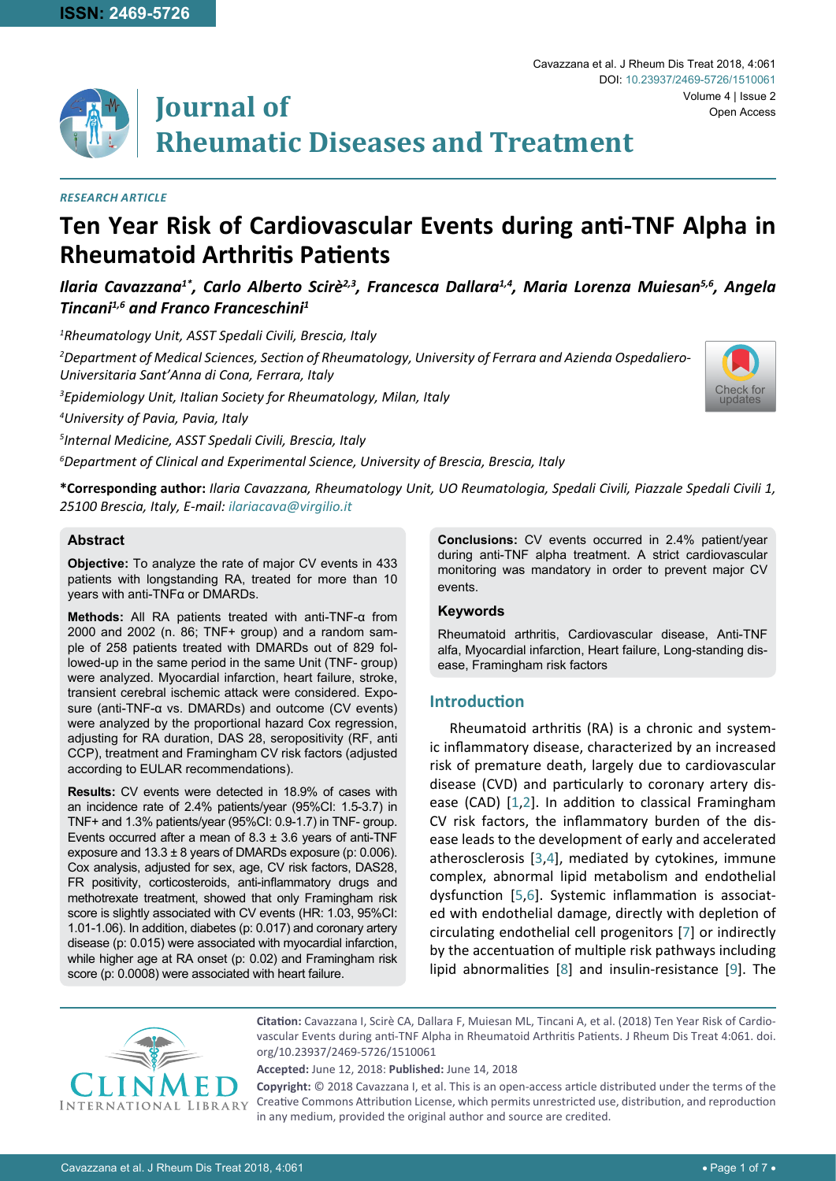[Check for](http://crossmark.crossref.org/dialog/?doi=10.23937/2469-5726/1510061&domain=pdf) updates



# **Journal of Rheumatic Diseases and Treatment**

#### *Research Article*

## **Ten Year Risk of Cardiovascular Events during anti-TNF Alpha in Rheumatoid Arthritis Patients**

## *Ilaria Cavazzana1\*, Carlo Alberto Scirè2,3, Francesca Dallara1,4, Maria Lorenza Muiesan5,6, Angela Tincani1,6 and Franco Franceschini1*

*1 Rheumatology Unit, ASST Spedali Civili, Brescia, Italy*

*2 Department of Medical Sciences, Section of Rheumatology, University of Ferrara and Azienda Ospedaliero-Universitaria Sant'Anna di Cona, Ferrara, Italy*

*3 Epidemiology Unit, Italian Society for Rheumatology, Milan, Italy*

*4 University of Pavia, Pavia, Italy*

*5 Internal Medicine, ASST Spedali Civili, Brescia, Italy*

*6 Department of Clinical and Experimental Science, University of Brescia, Brescia, Italy*

**\*Corresponding author:** *Ilaria Cavazzana, Rheumatology Unit, UO Reumatologia, Spedali Civili, Piazzale Spedali Civili 1, 25100 Brescia, Italy, E-mail: ilariacava@virgilio.it*

#### **Abstract**

**Objective:** To analyze the rate of major CV events in 433 patients with longstanding RA, treated for more than 10 years with anti-TNFα or DMARDs.

**Methods:** All RA patients treated with anti-TNF-α from 2000 and 2002 (n. 86; TNF+ group) and a random sample of 258 patients treated with DMARDs out of 829 followed-up in the same period in the same Unit (TNF- group) were analyzed. Myocardial infarction, heart failure, stroke, transient cerebral ischemic attack were considered. Exposure (anti-TNF-α vs. DMARDs) and outcome (CV events) were analyzed by the proportional hazard Cox regression, adjusting for RA duration, DAS 28, seropositivity (RF, anti CCP), treatment and Framingham CV risk factors (adjusted according to EULAR recommendations).

**Results:** CV events were detected in 18.9% of cases with an incidence rate of 2.4% patients/year (95%CI: 1.5-3.7) in TNF+ and 1.3% patients/year (95%CI: 0.9-1.7) in TNF- group. Events occurred after a mean of  $8.3 \pm 3.6$  years of anti-TNF exposure and  $13.3 \pm 8$  years of DMARDs exposure (p: 0.006). Cox analysis, adjusted for sex, age, CV risk factors, DAS28, FR positivity, corticosteroids, anti-inflammatory drugs and methotrexate treatment, showed that only Framingham risk score is slightly associated with CV events (HR: 1.03, 95%CI: 1.01-1.06). In addition, diabetes (p: 0.017) and coronary artery disease (p: 0.015) were associated with myocardial infarction, while higher age at RA onset (p: 0.02) and Framingham risk score (p: 0.0008) were associated with heart failure.

**Conclusions:** CV events occurred in 2.4% patient/year during anti-TNF alpha treatment. A strict cardiovascular monitoring was mandatory in order to prevent major CV events.

#### **Keywords**

Rheumatoid arthritis, Cardiovascular disease, Anti-TNF alfa, Myocardial infarction, Heart failure, Long-standing disease, Framingham risk factors

### **Introduction**

Rheumatoid arthritis (RA) is a chronic and systemic inflammatory disease, characterized by an increased risk of premature death, largely due to cardiovascular disease (CVD) and particularly to coronary artery disease (CAD) [\[1](#page-5-0)[,2](#page-5-1)]. In addition to classical Framingham CV risk factors, the inflammatory burden of the disease leads to the development of early and accelerated atherosclerosis [[3,](#page-5-2)[4\]](#page-5-3), mediated by cytokines, immune complex, abnormal lipid metabolism and endothelial dysfunction [[5](#page-5-4),[6\]](#page-5-5). Systemic inflammation is associated with endothelial damage, directly with depletion of circulating endothelial cell progenitors [[7\]](#page-5-6) or indirectly by the accentuation of multiple risk pathways including lipid abnormalities [[8\]](#page-5-7) and insulin-resistance [[9](#page-5-8)]. The



**Citation:** Cavazzana I, Scirè CA, Dallara F, Muiesan ML, Tincani A, et al. (2018) Ten Year Risk of Cardiovascular Events during anti-TNF Alpha in Rheumatoid Arthritis Patients. J Rheum Dis Treat 4:061. [doi.](https://doi.org/10.23937/2469-5726/1510061) [org/10.23937/2469-5726/1510061](https://doi.org/10.23937/2469-5726/1510061)

**Accepted:** June 12, 2018: **Published:** June 14, 2018

**Copyright:** © 2018 Cavazzana I, et al. This is an open-access article distributed under the terms of the Creative Commons Attribution License, which permits unrestricted use, distribution, and reproduction in any medium, provided the original author and source are credited.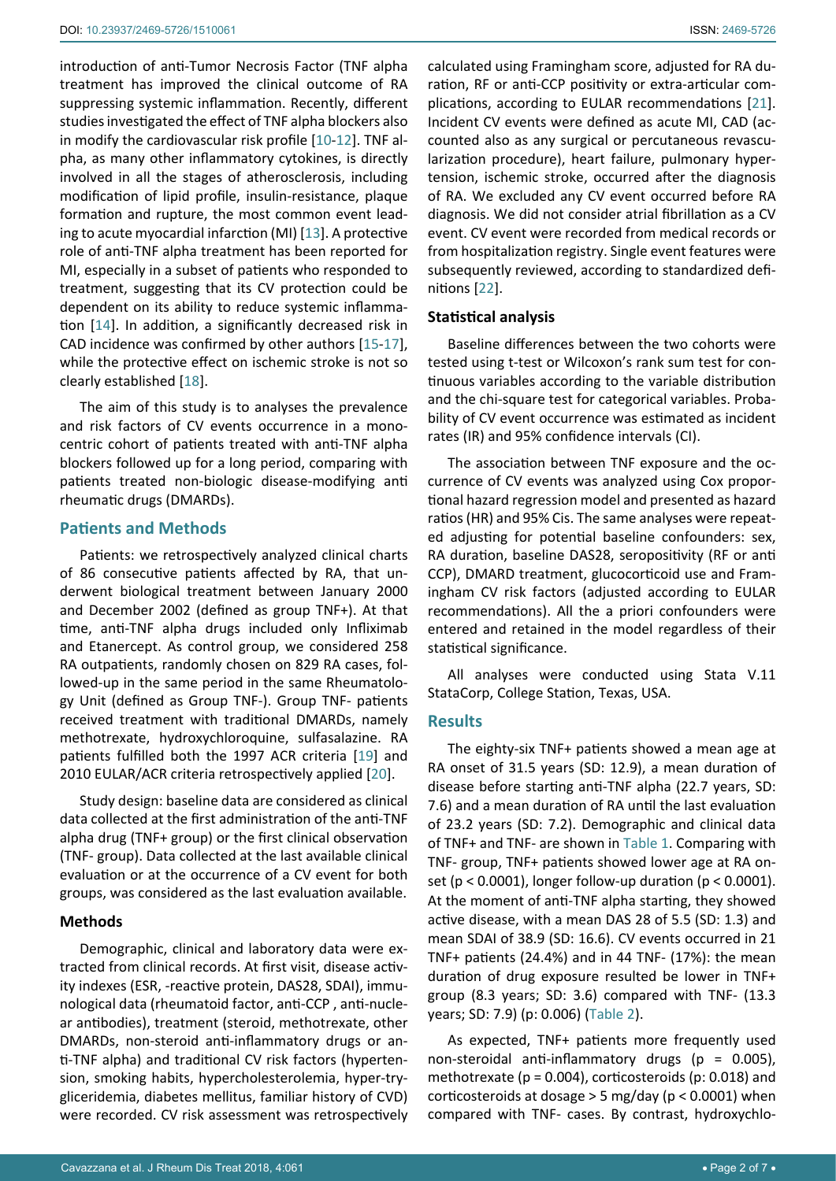introduction of anti-Tumor Necrosis Factor (TNF alpha treatment has improved the clinical outcome of RA suppressing systemic inflammation. Recently, different studies investigated the effect of TNF alpha blockers also in modify the cardiovascular risk profile [[10](#page-5-9)[-12](#page-5-10)]. TNF alpha, as many other inflammatory cytokines, is directly involved in all the stages of atherosclerosis, including modification of lipid profile, insulin-resistance, plaque formation and rupture, the most common event leading to acute myocardial infarction (MI) [[13](#page-5-11)]. A protective role of anti-TNF alpha treatment has been reported for MI, especially in a subset of patients who responded to treatment, suggesting that its CV protection could be dependent on its ability to reduce systemic inflammation [[14\]](#page-6-2). In addition, a significantly decreased risk in CAD incidence was confirmed by other authors [[15](#page-6-3)[-17](#page-6-4)], while the protective effect on ischemic stroke is not so clearly established [[18](#page-6-5)].

The aim of this study is to analyses the prevalence and risk factors of CV events occurrence in a monocentric cohort of patients treated with anti-TNF alpha blockers followed up for a long period, comparing with patients treated non-biologic disease-modifying anti rheumatic drugs (DMARDs).

#### **Patients and Methods**

Patients: we retrospectively analyzed clinical charts of 86 consecutive patients affected by RA, that underwent biological treatment between January 2000 and December 2002 (defined as group TNF+). At that time, anti-TNF alpha drugs included only Infliximab and Etanercept. As control group, we considered 258 RA outpatients, randomly chosen on 829 RA cases, followed-up in the same period in the same Rheumatology Unit (defined as Group TNF-). Group TNF- patients received treatment with traditional DMARDs, namely methotrexate, hydroxychloroquine, sulfasalazine. RA patients fulfilled both the 1997 ACR criteria [[19](#page-6-6)] and 2010 EULAR/ACR criteria retrospectively applied [[20](#page-6-7)].

Study design: baseline data are considered as clinical data collected at the first administration of the anti-TNF alpha drug (TNF+ group) or the first clinical observation (TNF- group). Data collected at the last available clinical evaluation or at the occurrence of a CV event for both groups, was considered as the last evaluation available.

#### **Methods**

Demographic, clinical and laboratory data were extracted from clinical records. At first visit, disease activity indexes (ESR, -reactive protein, DAS28, SDAI), immunological data (rheumatoid factor, anti-CCP , anti-nuclear antibodies), treatment (steroid, methotrexate, other DMARDs, non-steroid anti-inflammatory drugs or anti-TNF alpha) and traditional CV risk factors (hypertension, smoking habits, hypercholesterolemia, hyper-trygliceridemia, diabetes mellitus, familiar history of CVD) were recorded. CV risk assessment was retrospectively calculated using Framingham score, adjusted for RA duration, RF or anti-CCP positivity or extra-articular complications, according to EULAR recommendations [[21\]](#page-6-0). Incident CV events were defined as acute MI, CAD (accounted also as any surgical or percutaneous revascularization procedure), heart failure, pulmonary hypertension, ischemic stroke, occurred after the diagnosis of RA. We excluded any CV event occurred before RA diagnosis. We did not consider atrial fibrillation as a CV event. CV event were recorded from medical records or from hospitalization registry. Single event features were subsequently reviewed, according to standardized definitions [[22](#page-6-1)].

#### **Statistical analysis**

Baseline differences between the two cohorts were tested using t-test or Wilcoxon's rank sum test for continuous variables according to the variable distribution and the chi-square test for categorical variables. Probability of CV event occurrence was estimated as incident rates (IR) and 95% confidence intervals (CI).

The association between TNF exposure and the occurrence of CV events was analyzed using Cox proportional hazard regression model and presented as hazard ratios (HR) and 95% Cis. The same analyses were repeated adjusting for potential baseline confounders: sex, RA duration, baseline DAS28, seropositivity (RF or anti CCP), DMARD treatment, glucocorticoid use and Framingham CV risk factors (adjusted according to EULAR recommendations). All the a priori confounders were entered and retained in the model regardless of their statistical significance.

All analyses were conducted using Stata V.11 StataCorp, College Station, Texas, USA.

#### **Results**

The eighty-six TNF+ patients showed a mean age at RA onset of 31.5 years (SD: 12.9), a mean duration of disease before starting anti-TNF alpha (22.7 years, SD: 7.6) and a mean duration of RA until the last evaluation of 23.2 years (SD: 7.2). Demographic and clinical data of TNF+ and TNF- are shown in [Table 1](#page-2-0). Comparing with TNF- group, TNF+ patients showed lower age at RA onset (p <  $0.0001$ ), longer follow-up duration (p <  $0.0001$ ). At the moment of anti-TNF alpha starting, they showed active disease, with a mean DAS 28 of 5.5 (SD: 1.3) and mean SDAI of 38.9 (SD: 16.6). CV events occurred in 21 TNF+ patients (24.4%) and in 44 TNF- (17%): the mean duration of drug exposure resulted be lower in TNF+ group (8.3 years; SD: 3.6) compared with TNF- (13.3 years; SD: 7.9) (p: 0.006) ([Table 2](#page-2-1)).

As expected, TNF+ patients more frequently used non-steroidal anti-inflammatory drugs ( $p = 0.005$ ), methotrexate ( $p = 0.004$ ), corticosteroids ( $p: 0.018$ ) and corticosteroids at dosage > 5 mg/day (p < 0.0001) when compared with TNF- cases. By contrast, hydroxychlo-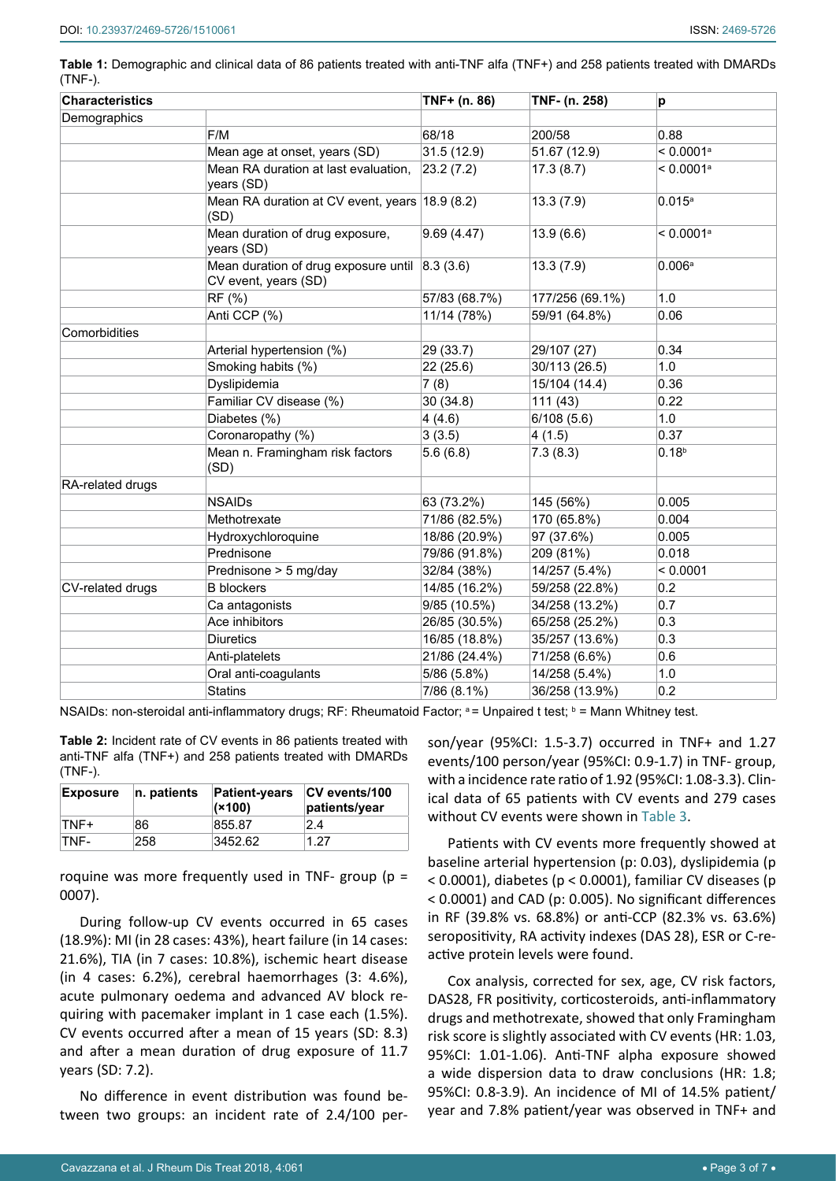<span id="page-2-0"></span>**Table 1:** Demographic and clinical data of 86 patients treated with anti-TNF alfa (TNF+) and 258 patients treated with DMARDs (TNF-).

| <b>Characteristics</b> |                                                                                | TNF+ (n. 86)  | TNF- (n. 258)   | p                       |  |
|------------------------|--------------------------------------------------------------------------------|---------------|-----------------|-------------------------|--|
| Demographics           |                                                                                |               |                 |                         |  |
|                        | F/M                                                                            | 68/18         | 200/58          | 0.88                    |  |
|                        | Mean age at onset, years (SD)                                                  | 31.5(12.9)    | 51.67 (12.9)    | $< 0.0001$ <sup>a</sup> |  |
|                        | Mean RA duration at last evaluation,<br>years (SD)                             | 23.2(7.2)     | 17.3(8.7)       | < 0.0001a               |  |
|                        | Mean RA duration at CV event, years 18.9 (8.2)<br>(SD)                         |               | 13.3(7.9)       | $0.015^a$               |  |
|                        | Mean duration of drug exposure,<br>years (SD)                                  | 9.69(4.47)    | 13.9(6.6)       | $< 0.0001$ <sup>a</sup> |  |
|                        | Mean duration of drug exposure until $\vert$ 8.3 (3.6)<br>CV event, years (SD) |               | 13.3(7.9)       | 0.006 <sup>a</sup>      |  |
|                        | RF (%)                                                                         | 57/83 (68.7%) | 177/256 (69.1%) | 1.0                     |  |
|                        | Anti CCP (%)                                                                   | 11/14 (78%)   | 59/91 (64.8%)   | 0.06                    |  |
| Comorbidities          |                                                                                |               |                 |                         |  |
|                        | Arterial hypertension (%)                                                      | 29 (33.7)     | 29/107 (27)     | 0.34                    |  |
|                        | Smoking habits (%)                                                             | 22 (25.6)     | 30/113 (26.5)   | 1.0                     |  |
|                        | Dyslipidemia                                                                   | 7(8)          | 15/104 (14.4)   | 0.36                    |  |
|                        | Familiar CV disease (%)                                                        | 30(34.8)      | 111(43)         | 0.22                    |  |
|                        | Diabetes (%)                                                                   | 4(4.6)        | 6/108(5.6)      | 1.0                     |  |
|                        | Coronaropathy (%)                                                              | 3(3.5)        | 4(1.5)          | 0.37                    |  |
|                        | Mean n. Framingham risk factors<br>(SD)                                        | 5.6(6.8)      | 7.3(8.3)        | $0.18^{b}$              |  |
| RA-related drugs       |                                                                                |               |                 |                         |  |
|                        | <b>NSAIDs</b>                                                                  | 63 (73.2%)    | 145 (56%)       | 0.005                   |  |
|                        | Methotrexate                                                                   | 71/86 (82.5%) | 170 (65.8%)     | 0.004                   |  |
|                        | Hydroxychloroquine                                                             | 18/86 (20.9%) | 97 (37.6%)      | 0.005                   |  |
|                        | Prednisone                                                                     | 79/86 (91.8%) | 209 (81%)       | 0.018                   |  |
|                        | Prednisone > 5 mg/day                                                          | 32/84 (38%)   | 14/257 (5.4%)   | < 0.0001                |  |
| CV-related drugs       | <b>B</b> blockers                                                              | 14/85 (16.2%) | 59/258 (22.8%)  | 0.2                     |  |
|                        | Ca antagonists                                                                 | 9/85(10.5%)   | 34/258 (13.2%)  | 0.7                     |  |
|                        | Ace inhibitors                                                                 | 26/85 (30.5%) | 65/258 (25.2%)  | 0.3                     |  |
|                        | <b>Diuretics</b>                                                               | 16/85 (18.8%) | 35/257 (13.6%)  | 0.3                     |  |
|                        | Anti-platelets                                                                 | 21/86 (24.4%) | 71/258 (6.6%)   | 0.6                     |  |
|                        | Oral anti-coagulants                                                           | 5/86 (5.8%)   | 14/258 (5.4%)   | 1.0                     |  |
|                        | <b>Statins</b>                                                                 | 7/86 (8.1%)   | 36/258 (13.9%)  | 0.2                     |  |

NSAIDs: non-steroidal anti-inflammatory drugs; RF: Rheumatoid Factor; <sup>a</sup> = Unpaired t test; <sup>b</sup> = Mann Whitney test.

<span id="page-2-1"></span>**Table 2:** Incident rate of CV events in 86 patients treated with anti-TNF alfa (TNF+) and 258 patients treated with DMARDs (TNF-).

| <b>Exposure</b> | n. patients | <b>Patient-years</b><br>(x100) | <b>CV</b> events/100<br>patients/year |
|-----------------|-------------|--------------------------------|---------------------------------------|
| TNF+            | 86          | 855.87                         | 24                                    |
| TNF-            | 258         | 3452.62                        | 1.27                                  |

roquine was more frequently used in TNF- group ( $p =$ 0007).

During follow-up CV events occurred in 65 cases (18.9%): MI (in 28 cases: 43%), heart failure (in 14 cases: 21.6%), TIA (in 7 cases: 10.8%), ischemic heart disease (in 4 cases: 6.2%), cerebral haemorrhages (3: 4.6%), acute pulmonary oedema and advanced AV block requiring with pacemaker implant in 1 case each (1.5%). CV events occurred after a mean of 15 years (SD: 8.3) and after a mean duration of drug exposure of 11.7 years (SD: 7.2).

No difference in event distribution was found between two groups: an incident rate of 2.4/100 person/year (95%CI: 1.5-3.7) occurred in TNF+ and 1.27 events/100 person/year (95%CI: 0.9-1.7) in TNF- group, with a incidence rate ratio of 1.92 (95%CI: 1.08-3.3). Clinical data of 65 patients with CV events and 279 cases without CV events were shown in [Table 3](#page-3-0).

Patients with CV events more frequently showed at baseline arterial hypertension (p: 0.03), dyslipidemia (p < 0.0001), diabetes (p < 0.0001), familiar CV diseases (p < 0.0001) and CAD (p: 0.005). No significant differences in RF (39.8% vs. 68.8%) or anti-CCP (82.3% vs. 63.6%) seropositivity, RA activity indexes (DAS 28), ESR or C-reactive protein levels were found.

Cox analysis, corrected for sex, age, CV risk factors, DAS28, FR positivity, corticosteroids, anti-inflammatory drugs and methotrexate, showed that only Framingham risk score is slightly associated with CV events (HR: 1.03, 95%CI: 1.01-1.06). Anti-TNF alpha exposure showed a wide dispersion data to draw conclusions (HR: 1.8; 95%CI: 0.8-3.9). An incidence of MI of 14.5% patient/ year and 7.8% patient/year was observed in TNF+ and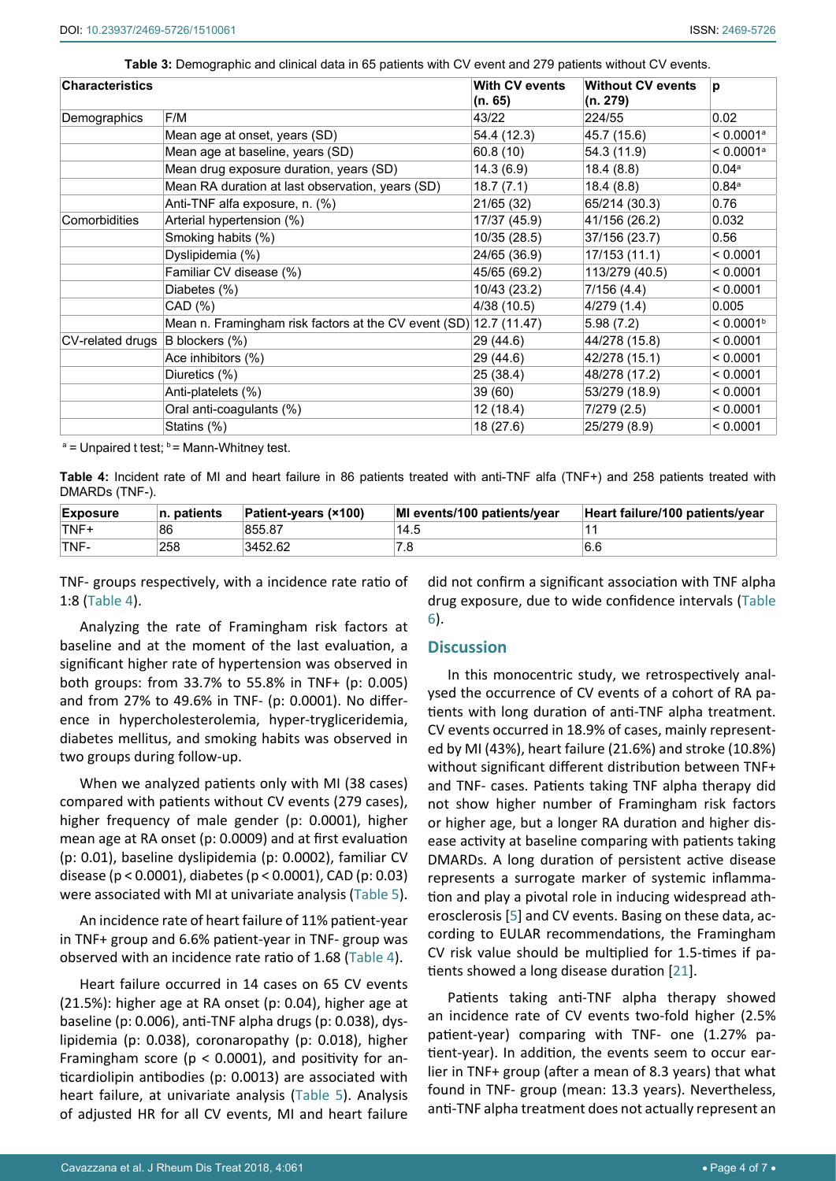<span id="page-3-0"></span>**Table 3:** Demographic and clinical data in 65 patients with CV event and 279 patients without CV events.

| <b>Characteristics</b> |                                                                   | With CV events<br>(n. 65) | <b>Without CV events</b><br>(n. 279) | þ                       |  |
|------------------------|-------------------------------------------------------------------|---------------------------|--------------------------------------|-------------------------|--|
| Demographics           | F/M                                                               | 43/22                     | 224/55                               | 0.02                    |  |
|                        | Mean age at onset, years (SD)                                     | 54.4 (12.3)               | 45.7 (15.6)                          | $< 0.0001$ <sup>a</sup> |  |
|                        | Mean age at baseline, years (SD)                                  | 60.8(10)                  | 54.3 (11.9)                          | $< 0.0001$ <sup>a</sup> |  |
|                        | Mean drug exposure duration, years (SD)                           | 14.3(6.9)                 | 18.4(8.8)                            | 0.04a                   |  |
|                        | Mean RA duration at last observation, years (SD)                  | 18.7(7.1)                 | 18.4(8.8)                            | 0.84a                   |  |
|                        | Anti-TNF alfa exposure, n. (%)                                    | 21/65 (32)                | 65/214 (30.3)                        | 0.76                    |  |
| Comorbidities          | Arterial hypertension (%)                                         | 17/37 (45.9)              | 41/156 (26.2)                        | 0.032                   |  |
|                        | Smoking habits (%)                                                | 10/35 (28.5)              | 37/156 (23.7)                        | 0.56                    |  |
|                        | Dyslipidemia (%)                                                  | 24/65 (36.9)              | 17/153 (11.1)                        | < 0.0001                |  |
|                        | Familiar CV disease (%)                                           | 45/65 (69.2)              | 113/279 (40.5)                       | < 0.0001                |  |
|                        | Diabetes (%)                                                      | 10/43 (23.2)              | 7/156(4.4)                           | < 0.0001                |  |
|                        | CAD (%)                                                           | 4/38(10.5)                | 4/279 (1.4)                          | 0.005                   |  |
|                        | Mean n. Framingham risk factors at the CV event (SD) 12.7 (11.47) |                           | 5.98(7.2)                            | < 0.0001 <sup>b</sup>   |  |
| CV-related drugs       | $\vert$ B blockers $(\% )$                                        | 29 (44.6)                 | 44/278 (15.8)                        | < 0.0001                |  |
|                        | Ace inhibitors (%)                                                | 29 (44.6)                 | 42/278 (15.1)                        | < 0.0001                |  |
|                        | Diuretics (%)                                                     | 25 (38.4)                 | 48/278 (17.2)                        | < 0.0001                |  |
|                        | Anti-platelets (%)                                                | 39 (60)                   | 53/279 (18.9)                        | < 0.0001                |  |
|                        | Oral anti-coagulants (%)                                          | 12(18.4)                  | 7/279(2.5)                           | < 0.0001                |  |
|                        | Statins (%)                                                       | 18 (27.6)                 | 25/279 (8.9)                         | < 0.0001                |  |

<sup>a</sup> = Unpaired t test; <sup>b</sup> = Mann-Whitney test.

<span id="page-3-1"></span>**Table 4:** Incident rate of MI and heart failure in 86 patients treated with anti-TNF alfa (TNF+) and 258 patients treated with DMARDs (TNF-).

| <b>Exposure</b> | $\ln$ patients | <b>Patient-years (×100)</b> | MI events/100 patients/year | Heart failure/100 patients/year |
|-----------------|----------------|-----------------------------|-----------------------------|---------------------------------|
| TNF+            | 86             | 855.87                      | 14.5                        |                                 |
| 'TNF-           | 258            | 3452.62                     |                             | 6.6                             |

TNF- groups respectively, with a incidence rate ratio of 1:8 [\(Table 4](#page-3-1)).

Analyzing the rate of Framingham risk factors at baseline and at the moment of the last evaluation, a significant higher rate of hypertension was observed in both groups: from 33.7% to 55.8% in TNF+ (p: 0.005) and from 27% to 49.6% in TNF- (p: 0.0001). No difference in hypercholesterolemia, hyper-trygliceridemia, diabetes mellitus, and smoking habits was observed in two groups during follow-up.

When we analyzed patients only with MI (38 cases) compared with patients without CV events (279 cases), higher frequency of male gender (p: 0.0001), higher mean age at RA onset (p: 0.0009) and at first evaluation (p: 0.01), baseline dyslipidemia (p: 0.0002), familiar CV disease (p < 0.0001), diabetes (p < 0.0001), CAD (p: 0.03) were associated with MI at univariate analysis [\(Table 5](#page-4-1)).

An incidence rate of heart failure of 11% patient-year in TNF+ group and 6.6% patient-year in TNF- group was observed with an incidence rate ratio of 1.68 ([Table 4](#page-3-1)).

Heart failure occurred in 14 cases on 65 CV events (21.5%): higher age at RA onset (p: 0.04), higher age at baseline (p: 0.006), anti-TNF alpha drugs (p: 0.038), dyslipidemia (p: 0.038), coronaropathy (p: 0.018), higher Framingham score ( $p < 0.0001$ ), and positivity for anticardiolipin antibodies (p: 0.0013) are associated with heart failure, at univariate analysis [\(Table 5](#page-4-1)). Analysis of adjusted HR for all CV events, MI and heart failure did not confirm a significant association with TNF alpha drug exposure, due to wide confidence intervals [\(Table](#page-4-0)  [6](#page-4-0)).

#### **Discussion**

In this monocentric study, we retrospectively analysed the occurrence of CV events of a cohort of RA patients with long duration of anti-TNF alpha treatment. CV events occurred in 18.9% of cases, mainly represented by MI (43%), heart failure (21.6%) and stroke (10.8%) without significant different distribution between TNF+ and TNF- cases. Patients taking TNF alpha therapy did not show higher number of Framingham risk factors or higher age, but a longer RA duration and higher disease activity at baseline comparing with patients taking DMARDs. A long duration of persistent active disease represents a surrogate marker of systemic inflammation and play a pivotal role in inducing widespread atherosclerosis [[5\]](#page-5-4) and CV events. Basing on these data, according to EULAR recommendations, the Framingham CV risk value should be multiplied for 1.5-times if patients showed a long disease duration [[21\]](#page-6-0).

Patients taking anti-TNF alpha therapy showed an incidence rate of CV events two-fold higher (2.5% patient-year) comparing with TNF- one (1.27% patient-year). In addition, the events seem to occur earlier in TNF+ group (after a mean of 8.3 years) that what found in TNF- group (mean: 13.3 years). Nevertheless, anti-TNF alpha treatment does not actually represent an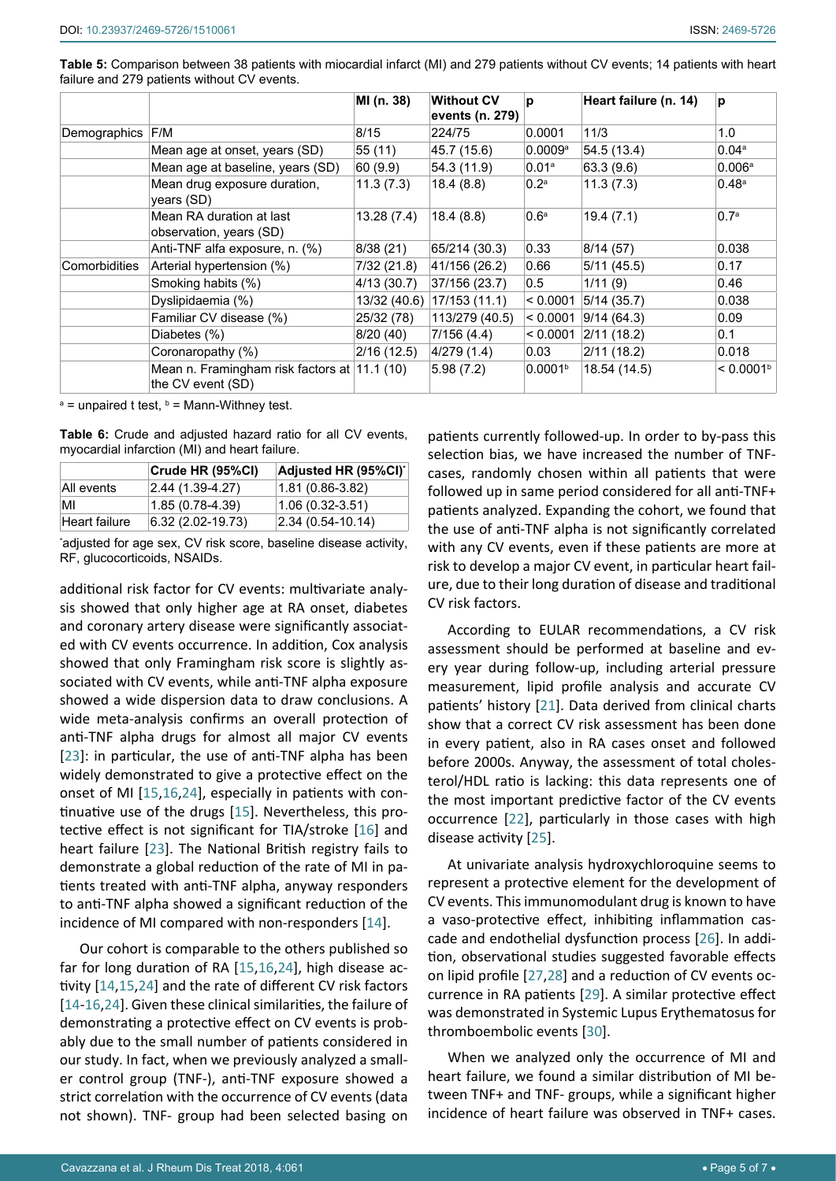<span id="page-4-1"></span>

| Table 5: Comparison between 38 patients with miocardial infarct (MI) and 279 patients without CV events; 14 patients with heart |  |  |  |  |
|---------------------------------------------------------------------------------------------------------------------------------|--|--|--|--|
| failure and 279 patients without CV events.                                                                                     |  |  |  |  |

|               |                                                                   | MI (n. 38)   | <b>Without CV</b><br>events (n. 279) | p                   | Heart failure (n. 14) | p                     |
|---------------|-------------------------------------------------------------------|--------------|--------------------------------------|---------------------|-----------------------|-----------------------|
| Demographics  | F/M                                                               | 8/15         | 224/75                               | 0.0001              | 11/3                  | 1.0                   |
|               | Mean age at onset, years (SD)                                     | 55 (11)      | 45.7 (15.6)                          | 0.0009a             | 54.5 (13.4)           | 0.04a                 |
|               | Mean age at baseline, years (SD)                                  | 60 (9.9)     | 54.3 (11.9)                          | 0.01 <sup>a</sup>   | 63.3(9.6)             | 0.006a                |
|               | Mean drug exposure duration,<br>years (SD)                        | 11.3(7.3)    | 18.4(8.8)                            | 0.2 <sup>a</sup>    | 11.3(7.3)             | 0.48 <sup>a</sup>     |
|               | Mean RA duration at last<br>observation, years (SD)               | 13.28(7.4)   | 18.4(8.8)                            | 0.6 <sup>a</sup>    | 19.4(7.1)             | 0.7 <sup>a</sup>      |
|               | Anti-TNF alfa exposure, n. (%)                                    | 8/38 (21)    | 65/214 (30.3)                        | 0.33                | 8/14(57)              | 0.038                 |
| Comorbidities | Arterial hypertension (%)                                         | 7/32 (21.8)  | 41/156 (26.2)                        | 0.66                | 5/11(45.5)            | 0.17                  |
|               | Smoking habits (%)                                                | 4/13(30.7)   | 37/156 (23.7)                        | 0.5                 | 1/11(9)               | 0.46                  |
|               | Dyslipidaemia (%)                                                 | 13/32 (40.6) | 17/153 (11.1)                        | < 0.0001            | 5/14(35.7)            | 0.038                 |
|               | Familiar CV disease (%)                                           | 25/32 (78)   | 113/279 (40.5)                       | < 0.0001            | 9/14(64.3)            | 0.09                  |
|               | Diabetes (%)                                                      | 8/20 (40)    | 7/156 (4.4)                          | < 0.0001            | 2/11(18.2)            | 0.1                   |
|               | Coronaropathy (%)                                                 | 2/16(12.5)   | 4/279 (1.4)                          | 0.03                | 2/11(18.2)            | 0.018                 |
|               | Mean n. Framingham risk factors at 11.1 (10)<br>the CV event (SD) |              | 5.98(7.2)                            | 0.0001 <sup>b</sup> | 18.54 (14.5)          | < 0.0001 <sup>b</sup> |

<sup>a</sup> = unpaired t test, <sup>b</sup> = Mann-Withney test.

<span id="page-4-0"></span>**Table 6:** Crude and adjusted hazard ratio for all CV events, myocardial infarction (MI) and heart failure.

|               | Crude HR (95%CI)  | Adjusted HR (95%CI) |
|---------------|-------------------|---------------------|
| All events    | 2.44 (1.39-4.27)  | $(1.81)(0.86-3.82)$ |
| МΙ            | $1.85(0.78-4.39)$ | $(1.06(0.32-3.51))$ |
| Heart failure | 6.32 (2.02-19.73) | $2.34(0.54-10.14)$  |

\* adjusted for age sex, CV risk score, baseline disease activity, RF, glucocorticoids, NSAIDs.

additional risk factor for CV events: multivariate analysis showed that only higher age at RA onset, diabetes and coronary artery disease were significantly associated with CV events occurrence. In addition, Cox analysis showed that only Framingham risk score is slightly associated with CV events, while anti-TNF alpha exposure showed a wide dispersion data to draw conclusions. A wide meta-analysis confirms an overall protection of anti-TNF alpha drugs for almost all major CV events [[23](#page-6-14)]: in particular, the use of anti-TNF alpha has been widely demonstrated to give a protective effect on the onset of MI [[15](#page-6-3),[16](#page-6-15),[24\]](#page-6-16), especially in patients with continuative use of the drugs [[15](#page-6-3)]. Nevertheless, this protective effect is not significant for TIA/stroke [\[16](#page-6-15)] and heart failure [[23](#page-6-14)]. The National British registry fails to demonstrate a global reduction of the rate of MI in patients treated with anti-TNF alpha, anyway responders to anti-TNF alpha showed a significant reduction of the incidence of MI compared with non-responders [\[14](#page-6-2)].

Our cohort is comparable to the others published so far for long duration of RA [\[15](#page-6-3),[16](#page-6-15),[24](#page-6-16)], high disease activity [[14](#page-6-2),[15](#page-6-3),[24\]](#page-6-16) and the rate of different CV risk factors [[14](#page-6-2)-[16](#page-6-15),[24](#page-6-16)]. Given these clinical similarities, the failure of demonstrating a protective effect on CV events is probably due to the small number of patients considered in our study. In fact, when we previously analyzed a smaller control group (TNF-), anti-TNF exposure showed a strict correlation with the occurrence of CV events (data not shown). TNF- group had been selected basing on

patients currently followed-up. In order to by-pass this selection bias, we have increased the number of TNFcases, randomly chosen within all patients that were followed up in same period considered for all anti-TNF+ patients analyzed. Expanding the cohort, we found that the use of anti-TNF alpha is not significantly correlated with any CV events, even if these patients are more at risk to develop a major CV event, in particular heart failure, due to their long duration of disease and traditional CV risk factors.

According to EULAR recommendations, a CV risk assessment should be performed at baseline and every year during follow-up, including arterial pressure measurement, lipid profile analysis and accurate CV patients' history [[21](#page-6-0)]. Data derived from clinical charts show that a correct CV risk assessment has been done in every patient, also in RA cases onset and followed before 2000s. Anyway, the assessment of total cholesterol/HDL ratio is lacking: this data represents one of the most important predictive factor of the CV events occurrence [\[22](#page-6-1)], particularly in those cases with high disease activity [\[25](#page-6-8)].

At univariate analysis hydroxychloroquine seems to represent a protective element for the development of CV events. This immunomodulant drug is known to have a vaso-protective effect, inhibiting inflammation cascade and endothelial dysfunction process [\[26](#page-6-9)]. In addition, observational studies suggested favorable effects on lipid profile [[27](#page-6-10),[28](#page-6-11)] and a reduction of CV events occurrence in RA patients [[29](#page-6-12)]. A similar protective effect was demonstrated in Systemic Lupus Erythematosus for thromboembolic events [[30\]](#page-6-13).

When we analyzed only the occurrence of MI and heart failure, we found a similar distribution of MI between TNF+ and TNF- groups, while a significant higher incidence of heart failure was observed in TNF+ cases.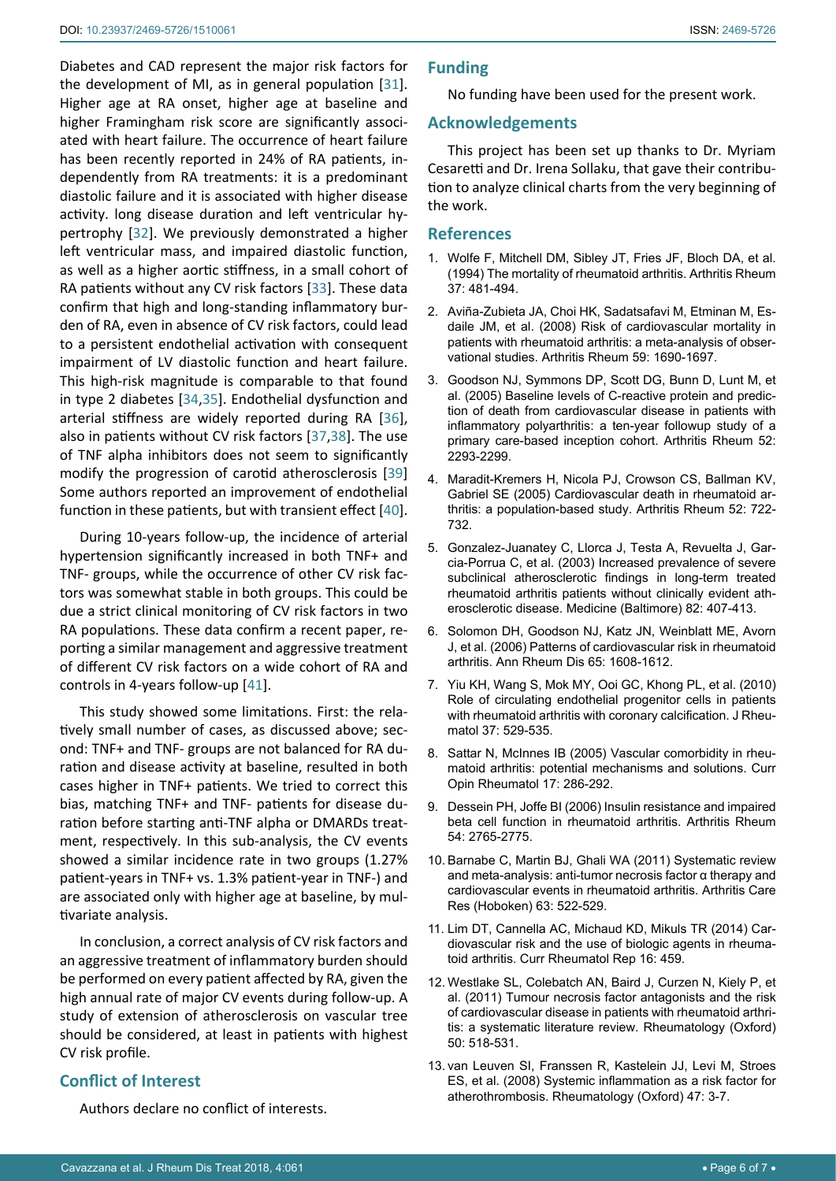Diabetes and CAD represent the major risk factors for the development of MI, as in general population [[31](#page-6-17)]. Higher age at RA onset, higher age at baseline and higher Framingham risk score are significantly associated with heart failure. The occurrence of heart failure has been recently reported in 24% of RA patients, independently from RA treatments: it is a predominant diastolic failure and it is associated with higher disease activity. long disease duration and left ventricular hypertrophy [[32](#page-6-18)]. We previously demonstrated a higher left ventricular mass, and impaired diastolic function, as well as a higher aortic stiffness, in a small cohort of RA patients without any CV risk factors [[33](#page-6-19)]. These data confirm that high and long-standing inflammatory burden of RA, even in absence of CV risk factors, could lead to a persistent endothelial activation with consequent impairment of LV diastolic function and heart failure. This high-risk magnitude is comparable to that found in type 2 diabetes [\[34](#page-6-20),[35](#page-6-21)]. Endothelial dysfunction and arterial stiffness are widely reported during RA [\[36](#page-6-22)], also in patients without CV risk factors [[37,](#page-6-23)[38](#page-6-24)]. The use of TNF alpha inhibitors does not seem to significantly modify the progression of carotid atherosclerosis [[39](#page-6-25)] Some authors reported an improvement of endothelial function in these patients, but with transient effect [\[40](#page-6-26)].

During 10-years follow-up, the incidence of arterial hypertension significantly increased in both TNF+ and TNF- groups, while the occurrence of other CV risk factors was somewhat stable in both groups. This could be due a strict clinical monitoring of CV risk factors in two RA populations. These data confirm a recent paper, reporting a similar management and aggressive treatment of different CV risk factors on a wide cohort of RA and controls in 4-years follow-up [\[41](#page-6-27)].

This study showed some limitations. First: the relatively small number of cases, as discussed above; second: TNF+ and TNF- groups are not balanced for RA duration and disease activity at baseline, resulted in both cases higher in TNF+ patients. We tried to correct this bias, matching TNF+ and TNF- patients for disease duration before starting anti-TNF alpha or DMARDs treatment, respectively. In this sub-analysis, the CV events showed a similar incidence rate in two groups (1.27% patient-years in TNF+ vs. 1.3% patient-year in TNF-) and are associated only with higher age at baseline, by multivariate analysis.

In conclusion, a correct analysis of CV risk factors and an aggressive treatment of inflammatory burden should be performed on every patient affected by RA, given the high annual rate of major CV events during follow-up. A study of extension of atherosclerosis on vascular tree should be considered, at least in patients with highest CV risk profile.

## **Conflict of Interest**

Authors declare no conflict of interests.

## **Funding**

No funding have been used for the present work.

#### **Acknowledgements**

This project has been set up thanks to Dr. Myriam Cesaretti and Dr. Irena Sollaku, that gave their contribution to analyze clinical charts from the very beginning of the work.

#### **References**

- <span id="page-5-0"></span>1. [Wolfe F, Mitchell DM, Sibley JT, Fries JF, Bloch DA, et al.](https://www.ncbi.nlm.nih.gov/pubmed/8147925)  [\(1994\) The mortality of rheumatoid arthritis. Arthritis Rheum](https://www.ncbi.nlm.nih.gov/pubmed/8147925)  [37: 481-494.](https://www.ncbi.nlm.nih.gov/pubmed/8147925)
- <span id="page-5-1"></span>2. [Aviña-Zubieta JA, Choi HK, Sadatsafavi M, Etminan M, Es](https://www.ncbi.nlm.nih.gov/pubmed/19035419)[daile JM, et al. \(2008\) Risk of cardiovascular mortality in](https://www.ncbi.nlm.nih.gov/pubmed/19035419)  [patients with rheumatoid arthritis: a meta-analysis of obser](https://www.ncbi.nlm.nih.gov/pubmed/19035419)[vational studies. Arthritis Rheum 59: 1690-1697.](https://www.ncbi.nlm.nih.gov/pubmed/19035419)
- <span id="page-5-2"></span>3. [Goodson NJ, Symmons DP, Scott DG, Bunn D, Lunt M, et](https://www.ncbi.nlm.nih.gov/pubmed/16052597)  [al. \(2005\) Baseline levels of C-reactive protein and predic](https://www.ncbi.nlm.nih.gov/pubmed/16052597)[tion of death from cardiovascular disease in patients with](https://www.ncbi.nlm.nih.gov/pubmed/16052597)  [inflammatory polyarthritis: a ten-year followup study of a](https://www.ncbi.nlm.nih.gov/pubmed/16052597)  [primary care-based inception cohort. Arthritis Rheum 52:](https://www.ncbi.nlm.nih.gov/pubmed/16052597)  [2293-2299.](https://www.ncbi.nlm.nih.gov/pubmed/16052597)
- <span id="page-5-3"></span>4. [Maradit-Kremers H, Nicola PJ, Crowson CS, Ballman KV,](https://www.ncbi.nlm.nih.gov/pubmed/15751097)  [Gabriel SE \(2005\) Cardiovascular death in rheumatoid ar](https://www.ncbi.nlm.nih.gov/pubmed/15751097)[thritis: a population-based study. Arthritis Rheum 52: 722-](https://www.ncbi.nlm.nih.gov/pubmed/15751097) [732.](https://www.ncbi.nlm.nih.gov/pubmed/15751097)
- <span id="page-5-4"></span>5. [Gonzalez-Juanatey C, Llorca J, Testa A, Revuelta J, Gar](https://www.ncbi.nlm.nih.gov/pubmed/14663290)[cia-Porrua C, et al. \(2003\) Increased prevalence of severe](https://www.ncbi.nlm.nih.gov/pubmed/14663290)  [subclinical atherosclerotic findings in long-term treated](https://www.ncbi.nlm.nih.gov/pubmed/14663290)  [rheumatoid arthritis patients without clinically evident ath](https://www.ncbi.nlm.nih.gov/pubmed/14663290)[erosclerotic disease. Medicine \(Baltimore\) 82: 407-413.](https://www.ncbi.nlm.nih.gov/pubmed/14663290)
- <span id="page-5-5"></span>6. [Solomon DH, Goodson NJ, Katz JN, Weinblatt ME, Avorn](https://www.ncbi.nlm.nih.gov/pubmed/16793844)  [J, et al. \(2006\) Patterns of cardiovascular risk in rheumatoid](https://www.ncbi.nlm.nih.gov/pubmed/16793844)  [arthritis. Ann Rheum Dis 65: 1608-1612.](https://www.ncbi.nlm.nih.gov/pubmed/16793844)
- <span id="page-5-6"></span>7. [Yiu KH, Wang S, Mok MY, Ooi GC, Khong PL, et al. \(2010\)](https://www.ncbi.nlm.nih.gov/pubmed/20080904)  [Role of circulating endothelial progenitor cells in patients](https://www.ncbi.nlm.nih.gov/pubmed/20080904)  [with rheumatoid arthritis with coronary calcification. J Rheu](https://www.ncbi.nlm.nih.gov/pubmed/20080904)[matol 37: 529-535.](https://www.ncbi.nlm.nih.gov/pubmed/20080904)
- <span id="page-5-7"></span>8. [Sattar N, McInnes IB \(2005\) Vascular comorbidity in rheu](https://www.ncbi.nlm.nih.gov/pubmed/15838238)[matoid arthritis: potential mechanisms and solutions. Curr](https://www.ncbi.nlm.nih.gov/pubmed/15838238)  [Opin Rheumatol 17: 286-292.](https://www.ncbi.nlm.nih.gov/pubmed/15838238)
- <span id="page-5-8"></span>9. [Dessein PH, Joffe BI \(2006\) Insulin resistance and impaired](https://www.ncbi.nlm.nih.gov/pubmed/16947779)  [beta cell function in rheumatoid arthritis. Arthritis Rheum](https://www.ncbi.nlm.nih.gov/pubmed/16947779)  [54: 2765-2775.](https://www.ncbi.nlm.nih.gov/pubmed/16947779)
- <span id="page-5-9"></span>10. [Barnabe C, Martin BJ, Ghali WA \(2011\) Systematic review](https://www.ncbi.nlm.nih.gov/pubmed/20957658)  [and meta-analysis: anti-tumor necrosis factor α](https://www.ncbi.nlm.nih.gov/pubmed/20957658) therapy and [cardiovascular events in rheumatoid arthritis. Arthritis Care](https://www.ncbi.nlm.nih.gov/pubmed/20957658)  [Res \(Hoboken\) 63: 522-529.](https://www.ncbi.nlm.nih.gov/pubmed/20957658)
- 11. [Lim DT, Cannella AC, Michaud KD, Mikuls TR \(2014\) Car](https://www.ncbi.nlm.nih.gov/pubmed/25315196)[diovascular risk and the use of biologic agents in rheuma](https://www.ncbi.nlm.nih.gov/pubmed/25315196)[toid arthritis. Curr Rheumatol Rep 16: 459.](https://www.ncbi.nlm.nih.gov/pubmed/25315196)
- <span id="page-5-10"></span>12. [Westlake SL, Colebatch AN, Baird J, Curzen N, Kiely P, et](https://www.ncbi.nlm.nih.gov/pubmed/21071477)  [al. \(2011\) Tumour necrosis factor antagonists and the risk](https://www.ncbi.nlm.nih.gov/pubmed/21071477)  [of cardiovascular disease in patients with rheumatoid arthri](https://www.ncbi.nlm.nih.gov/pubmed/21071477)[tis: a systematic literature review. Rheumatology \(Oxford\)](https://www.ncbi.nlm.nih.gov/pubmed/21071477)  [50: 518-531.](https://www.ncbi.nlm.nih.gov/pubmed/21071477)
- <span id="page-5-11"></span>13. [van Leuven SI, Franssen R, Kastelein JJ, Levi M, Stroes](https://www.ncbi.nlm.nih.gov/pubmed/17702769)  [ES, et al. \(2008\) Systemic inflammation as a risk factor for](https://www.ncbi.nlm.nih.gov/pubmed/17702769)  [atherothrombosis. Rheumatology \(Oxford\) 47: 3-7.](https://www.ncbi.nlm.nih.gov/pubmed/17702769)